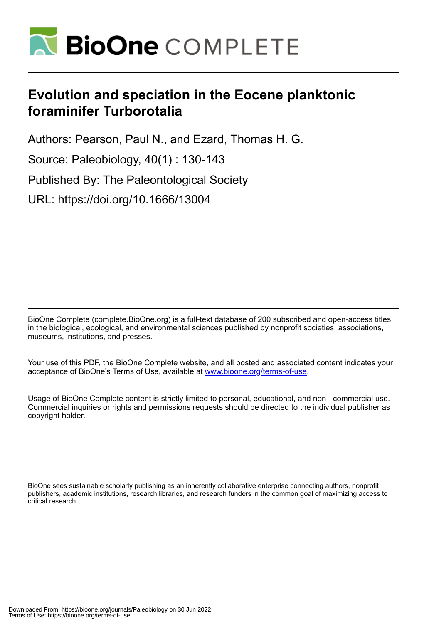

# **Evolution and speciation in the Eocene planktonic foraminifer Turborotalia**

Authors: Pearson, Paul N., and Ezard, Thomas H. G.

Source: Paleobiology, 40(1) : 130-143

Published By: The Paleontological Society

URL: https://doi.org/10.1666/13004

BioOne Complete (complete.BioOne.org) is a full-text database of 200 subscribed and open-access titles in the biological, ecological, and environmental sciences published by nonprofit societies, associations, museums, institutions, and presses.

Your use of this PDF, the BioOne Complete website, and all posted and associated content indicates your acceptance of BioOne's Terms of Use, available at www.bioone.org/terms-of-use.

Usage of BioOne Complete content is strictly limited to personal, educational, and non - commercial use. Commercial inquiries or rights and permissions requests should be directed to the individual publisher as copyright holder.

BioOne sees sustainable scholarly publishing as an inherently collaborative enterprise connecting authors, nonprofit publishers, academic institutions, research libraries, and research funders in the common goal of maximizing access to critical research.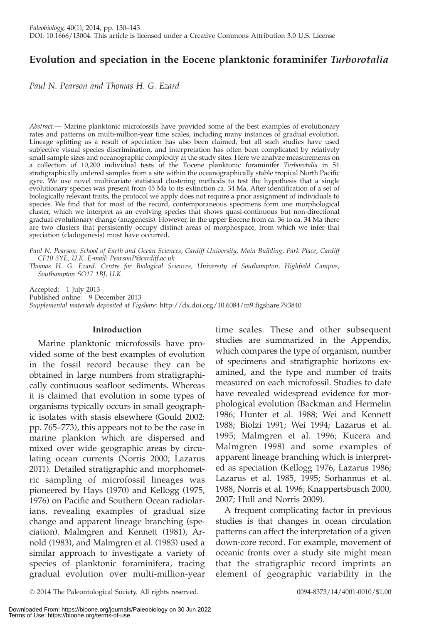## Evolution and speciation in the Eocene planktonic foraminifer Turborotalia

Paul N. Pearson and Thomas H. G. Ezard

Abstract.— Marine planktonic microfossils have provided some of the best examples of evolutionary rates and patterns on multi-million-year time scales, including many instances of gradual evolution. Lineage splitting as a result of speciation has also been claimed, but all such studies have used subjective visual species discrimination, and interpretation has often been complicated by relatively small sample sizes and oceanographic complexity at the study sites. Here we analyze measurements on a collection of 10,200 individual tests of the Eocene planktonic foraminifer Turborotalia in 51 stratigraphically ordered samples from a site within the oceanographically stable tropical North Pacific gyre. We use novel multivariate statistical clustering methods to test the hypothesis that a single evolutionary species was present from 45 Ma to its extinction ca. 34 Ma. After identification of a set of biologically relevant traits, the protocol we apply does not require a prior assignment of individuals to species. We find that for most of the record, contemporaneous specimens form one morphological cluster, which we interpret as an evolving species that shows quasi-continuous but non-directional gradual evolutionary change (anagenesis). However, in the upper Eocene from ca. 36 to ca. 34 Ma there are two clusters that persistently occupy distinct areas of morphospace, from which we infer that speciation (cladogenesis) must have occurred.

Paul N. Pearson. School of Earth and Ocean Sciences, Cardiff University, Main Building, Park Place, Cardiff CF10 3YE, U.K. E-mail: PearsonP@cardiff.ac.uk

Thomas H. G. Ezard. Centre for Biological Sciences, University of Southampton, Highfield Campus, Southampton SO17 1BJ, U.K.

Accepted: 1 July 2013 Published online: 9 December 2013 Supplemental materials deposited at Figshare: http://dx.doi.org/10.6084/m9.figshare.793840

### Introduction

Marine planktonic microfossils have provided some of the best examples of evolution in the fossil record because they can be obtained in large numbers from stratigraphically continuous seafloor sediments. Whereas it is claimed that evolution in some types of organisms typically occurs in small geographic isolates with stasis elsewhere (Gould 2002: pp. 765–773), this appears not to be the case in marine plankton which are dispersed and mixed over wide geographic areas by circulating ocean currents (Norris 2000; Lazarus 2011). Detailed stratigraphic and morphometric sampling of microfossil lineages was pioneered by Hays (1970) and Kellogg (1975, 1976) on Pacific and Southern Ocean radiolarians, revealing examples of gradual size change and apparent lineage branching (speciation). Malmgren and Kennett (1981), Arnold (1983), and Malmgren et al. (1983) used a similar approach to investigate a variety of species of planktonic foraminifera, tracing gradual evolution over multi-million-year

time scales. These and other subsequent studies are summarized in the Appendix, which compares the type of organism, number of specimens and stratigraphic horizons examined, and the type and number of traits measured on each microfossil. Studies to date have revealed widespread evidence for morphological evolution (Backman and Hermelin 1986; Hunter et al. 1988; Wei and Kennett 1988; Biolzi 1991; Wei 1994; Lazarus et al. 1995; Malmgren et al. 1996; Kucera and Malmgren 1998) and some examples of apparent lineage branching which is interpreted as speciation (Kellogg 1976, Lazarus 1986; Lazarus et al. 1985, 1995; Sorhannus et al. 1988, Norris et al. 1996; Knappertsbusch 2000, 2007; Hull and Norris 2009).

A frequent complicating factor in previous studies is that changes in ocean circulation patterns can affect the interpretation of a given down-core record. For example, movement of oceanic fronts over a study site might mean that the stratigraphic record imprints an element of geographic variability in the

<sup>-</sup> 2014 The Paleontological Society. All rights reserved. 0094-8373/14/4001-0010/\$1.00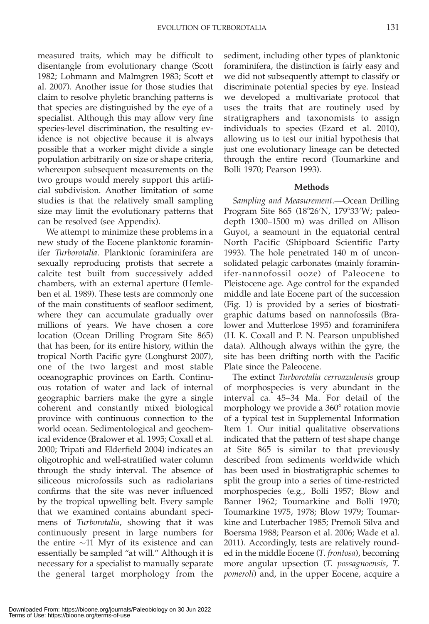measured traits, which may be difficult to disentangle from evolutionary change (Scott 1982; Lohmann and Malmgren 1983; Scott et al. 2007). Another issue for those studies that claim to resolve phyletic branching patterns is that species are distinguished by the eye of a specialist. Although this may allow very fine species-level discrimination, the resulting evidence is not objective because it is always possible that a worker might divide a single population arbitrarily on size or shape criteria, whereupon subsequent measurements on the two groups would merely support this artificial subdivision. Another limitation of some studies is that the relatively small sampling size may limit the evolutionary patterns that can be resolved (see Appendix).

We attempt to minimize these problems in a new study of the Eocene planktonic foraminifer Turborotalia. Planktonic foraminifera are sexually reproducing protists that secrete a calcite test built from successively added chambers, with an external aperture (Hemleben et al. 1989). These tests are commonly one of the main constituents of seafloor sediment, where they can accumulate gradually over millions of years. We have chosen a core location (Ocean Drilling Program Site 865) that has been, for its entire history, within the tropical North Pacific gyre (Longhurst 2007), one of the two largest and most stable oceanographic provinces on Earth. Continuous rotation of water and lack of internal geographic barriers make the gyre a single coherent and constantly mixed biological province with continuous connection to the world ocean. Sedimentological and geochemical evidence (Bralower et al. 1995; Coxall et al. 2000; Tripati and Elderfield 2004) indicates an oligotrophic and well-stratified water column through the study interval. The absence of siliceous microfossils such as radiolarians confirms that the site was never influenced by the tropical upwelling belt. Every sample that we examined contains abundant specimens of Turborotalia, showing that it was continuously present in large numbers for the entire  $\sim$ 11 Myr of its existence and can essentially be sampled ''at will.'' Although it is necessary for a specialist to manually separate the general target morphology from the sediment, including other types of planktonic foraminifera, the distinction is fairly easy and we did not subsequently attempt to classify or discriminate potential species by eye. Instead we developed a multivariate protocol that uses the traits that are routinely used by stratigraphers and taxonomists to assign individuals to species (Ezard et al. 2010), allowing us to test our initial hypothesis that just one evolutionary lineage can be detected through the entire record (Toumarkine and Bolli 1970; Pearson 1993).

#### Methods

Sampling and Measurement.—Ocean Drilling Program Site 865 (18°26′N, 179°33′W; paleodepth 1300–1500 m) was drilled on Allison Guyot, a seamount in the equatorial central North Pacific (Shipboard Scientific Party 1993). The hole penetrated 140 m of unconsolidated pelagic carbonates (mainly foraminifer-nannofossil ooze) of Paleocene to Pleistocene age. Age control for the expanded middle and late Eocene part of the succession (Fig. 1) is provided by a series of biostratigraphic datums based on nannofossils (Bralower and Mutterlose 1995) and foraminifera (H. K. Coxall and P. N. Pearson unpublished data). Although always within the gyre, the site has been drifting north with the Pacific Plate since the Paleocene.

The extinct Turborotalia cerroazulensis group of morphospecies is very abundant in the interval ca. 45–34 Ma. For detail of the morphology we provide a 360° rotation movie of a typical test in Supplemental Information Item 1. Our initial qualitative observations indicated that the pattern of test shape change at Site 865 is similar to that previously described from sediments worldwide which has been used in biostratigraphic schemes to split the group into a series of time-restricted morphospecies (e.g., Bolli 1957; Blow and Banner 1962; Toumarkine and Bolli 1970; Toumarkine 1975, 1978; Blow 1979; Toumarkine and Luterbacher 1985; Premoli Silva and Boersma 1988; Pearson et al. 2006; Wade et al. 2011). Accordingly, tests are relatively rounded in the middle Eocene (T. frontosa), becoming more angular upsection (T. possagnoensis, T. pomeroli) and, in the upper Eocene, acquire a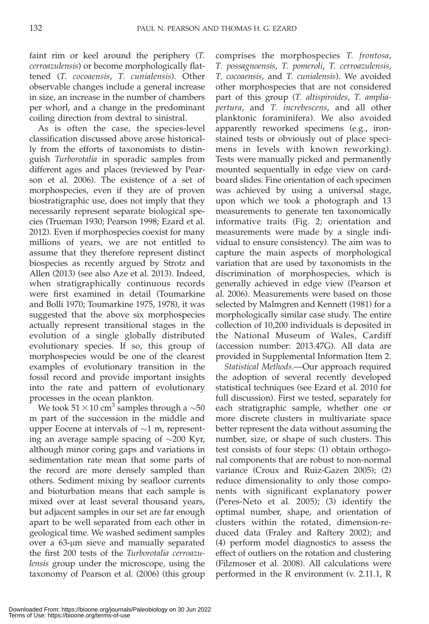faint rim or keel around the periphery (T. cerroazulensis) or become morphologically flattened (T. cocoaensis, T. cunialensis). Other observable changes include a general increase in size, an increase in the number of chambers per whorl, and a change in the predominant coiling direction from dextral to sinistral.

As is often the case, the species-level classification discussed above arose historically from the efforts of taxonomists to distinguish Turborotalia in sporadic samples from different ages and places (reviewed by Pearson et al. 2006). The existence of a set of morphospecies, even if they are of proven biostratigraphic use, does not imply that they necessarily represent separate biological species (Trueman 1930; Pearson 1998; Ezard et al. 2012). Even if morphospecies coexist for many millions of years, we are not entitled to assume that they therefore represent distinct biospecies as recently argued by Strotz and Allen (2013) (see also Aze et al. 2013). Indeed, when stratigraphically continuous records were first examined in detail (Toumarkine and Bolli 1970; Toumarkine 1975, 1978), it was suggested that the above six morphospecies actually represent transitional stages in the evolution of a single globally distributed evolutionary species. If so, this group of morphospecies would be one of the clearest examples of evolutionary transition in the fossil record and provide important insights into the rate and pattern of evolutionary processes in the ocean plankton.

We took 51  $\times$  10 cm<sup>3</sup> samples through a  $\sim$  50 m part of the succession in the middle and upper Eocene at intervals of  $\sim$ 1 m, representing an average sample spacing of  $\sim$ 200 Kyr, although minor coring gaps and variations in sedimentation rate mean that some parts of the record are more densely sampled than others. Sediment mixing by seafloor currents and bioturbation means that each sample is mixed over at least several thousand years, but adjacent samples in our set are far enough apart to be well separated from each other in geological time. We washed sediment samples over a 63-µm sieve and manually separated the first 200 tests of the Turborotalia cerroazulensis group under the microscope, using the taxonomy of Pearson et al. (2006) (this group comprises the morphospecies T. frontosa, T. possagnoensis, T. pomeroli, T. cerroazulensis, T. cocoaensis, and T. cunialensis). We avoided other morphospecies that are not considered part of this group (T. altispiroides, T. ampliapertura, and T. increbescens, and all other planktonic foraminifera). We also avoided apparently reworked specimens (e.g., ironstained tests or obviously out of place specimens in levels with known reworking). Tests were manually picked and permanently mounted sequentially in edge view on cardboard slides. Fine orientation of each specimen was achieved by using a universal stage, upon which we took a photograph and 13 measurements to generate ten taxonomically informative traits (Fig. 2; orientation and measurements were made by a single individual to ensure consistency). The aim was to capture the main aspects of morphological variation that are used by taxonomists in the discrimination of morphospecies, which is generally achieved in edge view (Pearson et al. 2006). Measurements were based on those selected by Malmgren and Kennett (1981) for a morphologically similar case study. The entire collection of 10,200 individuals is deposited in the National Museum of Wales, Cardiff (accession number: 2013.47G). All data are provided in Supplemental Information Item 2.

Statistical Methods.—Our approach required the adoption of several recently developed statistical techniques (see Ezard et al. 2010 for full discussion). First we tested, separately for each stratigraphic sample, whether one or more discrete clusters in multivariate space better represent the data without assuming the number, size, or shape of such clusters. This test consists of four steps: (1) obtain orthogonal components that are robust to non-normal variance (Croux and Ruiz-Gazen 2005); (2) reduce dimensionality to only those components with significant explanatory power (Peres-Neto et al. 2005); (3) identify the optimal number, shape, and orientation of clusters within the rotated, dimension-reduced data (Fraley and Raftery 2002); and (4) perform model diagnostics to assess the effect of outliers on the rotation and clustering (Filzmoser et al. 2008). All calculations were performed in the R environment (v. 2.11.1, R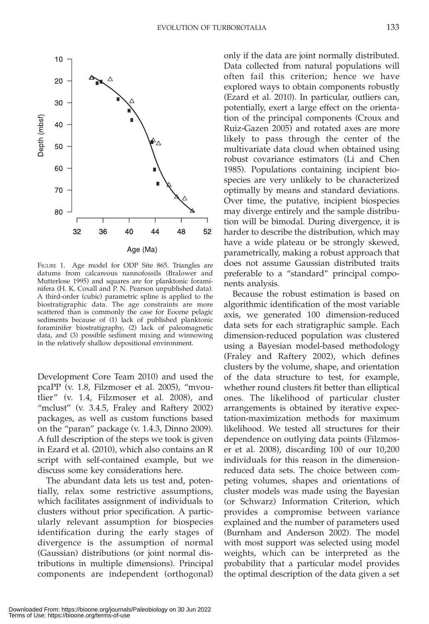

FIGURE 1. Age model for ODP Site 865. Triangles are datums from calcareous nannofossils (Bralower and Mutterlose 1995) and squares are for planktonic foraminifera (H. K. Coxall and P. N. Pearson unpublished data). A third-order (cubic) parametric spline is applied to the biostratigraphic data. The age constraints are more scattered than is commonly the case for Eocene pelagic sediments because of (1) lack of published planktonic foraminifer biostratigraphy, (2) lack of paleomagnetic data, and (3) possible sediment mixing and winnowing in the relatively shallow depositional environment.

Development Core Team 2010) and used the pcaPP (v. 1.8, Filzmoser et al. 2005), ''mvoutlier'' (v. 1.4, Filzmoser et al. 2008), and "mclust" (v. 3.4.5, Fraley and Raftery 2002) packages, as well as custom functions based on the ''paran'' package (v. 1.4.3, Dinno 2009). A full description of the steps we took is given in Ezard et al. (2010), which also contains an R script with self-contained example, but we discuss some key considerations here.

The abundant data lets us test and, potentially, relax some restrictive assumptions, which facilitates assignment of individuals to clusters without prior specification. A particularly relevant assumption for biospecies identification during the early stages of divergence is the assumption of normal (Gaussian) distributions (or joint normal distributions in multiple dimensions). Principal components are independent (orthogonal)

only if the data are joint normally distributed. Data collected from natural populations will often fail this criterion; hence we have explored ways to obtain components robustly (Ezard et al. 2010). In particular, outliers can, potentially, exert a large effect on the orientation of the principal components (Croux and Ruiz-Gazen 2005) and rotated axes are more likely to pass through the center of the multivariate data cloud when obtained using robust covariance estimators (Li and Chen 1985). Populations containing incipient biospecies are very unlikely to be characterized optimally by means and standard deviations. Over time, the putative, incipient biospecies may diverge entirely and the sample distribution will be bimodal. During divergence, it is harder to describe the distribution, which may have a wide plateau or be strongly skewed, parametrically, making a robust approach that does not assume Gaussian distributed traits preferable to a ''standard'' principal components analysis.

Because the robust estimation is based on algorithmic identification of the most variable axis, we generated 100 dimension-reduced data sets for each stratigraphic sample. Each dimension-reduced population was clustered using a Bayesian model-based methodology (Fraley and Raftery 2002), which defines clusters by the volume, shape, and orientation of the data structure to test, for example, whether round clusters fit better than elliptical ones. The likelihood of particular cluster arrangements is obtained by iterative expectation-maximization methods for maximum likelihood. We tested all structures for their dependence on outlying data points (Filzmoser et al. 2008), discarding 100 of our 10,200 individuals for this reason in the dimensionreduced data sets. The choice between competing volumes, shapes and orientations of cluster models was made using the Bayesian (or Schwarz) Information Criterion, which provides a compromise between variance explained and the number of parameters used (Burnham and Anderson 2002). The model with most support was selected using model weights, which can be interpreted as the probability that a particular model provides the optimal description of the data given a set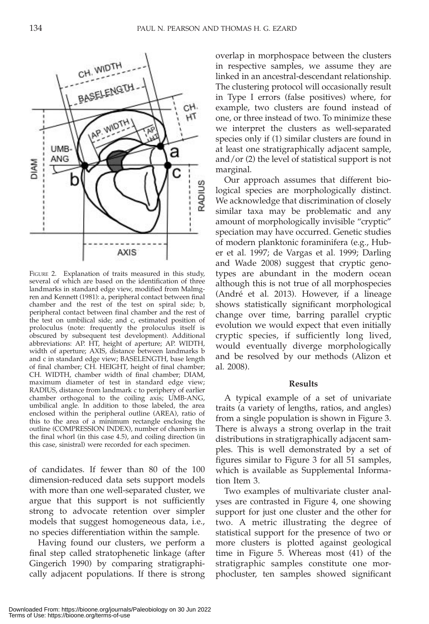

FIGURE 2. Explanation of traits measured in this study, several of which are based on the identification of three landmarks in standard edge view, modified from Malmgren and Kennett (1981): a, peripheral contact between final chamber and the rest of the test on spiral side; b, peripheral contact between final chamber and the rest of the test on umbilical side; and c, estimated position of proloculus (note: frequently the proloculus itself is obscured by subsequent test development). Additional abbreviations: AP. HT, height of aperture; AP. WIDTH, width of aperture; AXIS, distance between landmarks b and c in standard edge view; BASELENGTH, base length of final chamber; CH. HEIGHT, height of final chamber; CH. WIDTH, chamber width of final chamber; DIAM, maximum diameter of test in standard edge view; RADIUS, distance from landmark c to periphery of earlier chamber orthogonal to the coiling axis; UMB-ANG, umbilical angle. In addition to those labeled, the area enclosed within the peripheral outline (AREA), ratio of this to the area of a minimum rectangle enclosing the outline (COMPRESSION INDEX), number of chambers in the final whorl (in this case 4.5), and coiling direction (in this case, sinistral) were recorded for each specimen.

of candidates. If fewer than 80 of the 100 dimension-reduced data sets support models with more than one well-separated cluster, we argue that this support is not sufficiently strong to advocate retention over simpler models that suggest homogeneous data, i.e., no species differentiation within the sample.

Having found our clusters, we perform a final step called stratophenetic linkage (after Gingerich 1990) by comparing stratigraphically adjacent populations. If there is strong overlap in morphospace between the clusters in respective samples, we assume they are linked in an ancestral-descendant relationship. The clustering protocol will occasionally result in Type I errors (false positives) where, for example, two clusters are found instead of one, or three instead of two. To minimize these we interpret the clusters as well-separated species only if (1) similar clusters are found in at least one stratigraphically adjacent sample, and/or (2) the level of statistical support is not marginal.

Our approach assumes that different biological species are morphologically distinct. We acknowledge that discrimination of closely similar taxa may be problematic and any amount of morphologically invisible ''cryptic'' speciation may have occurred. Genetic studies of modern planktonic foraminifera (e.g., Huber et al. 1997; de Vargas et al. 1999; Darling and Wade 2008) suggest that cryptic genotypes are abundant in the modern ocean although this is not true of all morphospecies (André et al. 2013). However, if a lineage shows statistically significant morphological change over time, barring parallel cryptic evolution we would expect that even initially cryptic species, if sufficiently long lived, would eventually diverge morphologically and be resolved by our methods (Alizon et al. 2008).

#### Results

A typical example of a set of univariate traits (a variety of lengths, ratios, and angles) from a single population is shown in Figure 3. There is always a strong overlap in the trait distributions in stratigraphically adjacent samples. This is well demonstrated by a set of figures similar to Figure 3 for all 51 samples, which is available as Supplemental Information Item 3.

Two examples of multivariate cluster analyses are contrasted in Figure 4, one showing support for just one cluster and the other for two. A metric illustrating the degree of statistical support for the presence of two or more clusters is plotted against geological time in Figure 5. Whereas most (41) of the stratigraphic samples constitute one morphocluster, ten samples showed significant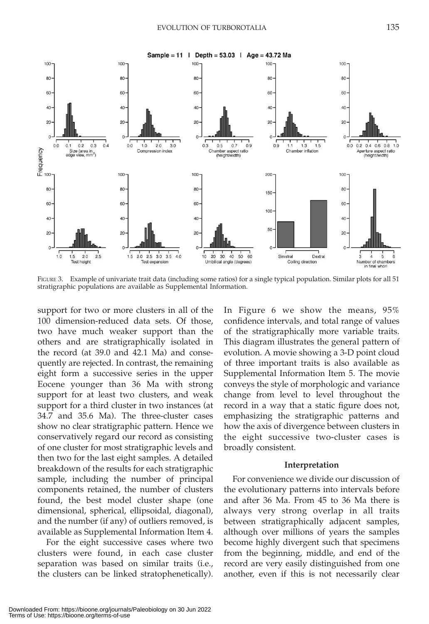

FIGURE 3. Example of univariate trait data (including some ratios) for a single typical population. Similar plots for all 51 stratigraphic populations are available as Supplemental Information.

support for two or more clusters in all of the 100 dimension-reduced data sets. Of those, two have much weaker support than the others and are stratigraphically isolated in the record (at 39.0 and 42.1 Ma) and consequently are rejected. In contrast, the remaining eight form a successive series in the upper Eocene younger than 36 Ma with strong support for at least two clusters, and weak support for a third cluster in two instances (at 34.7 and 35.6 Ma). The three-cluster cases show no clear stratigraphic pattern. Hence we conservatively regard our record as consisting of one cluster for most stratigraphic levels and then two for the last eight samples. A detailed breakdown of the results for each stratigraphic sample, including the number of principal components retained, the number of clusters found, the best model cluster shape (one dimensional, spherical, ellipsoidal, diagonal), and the number (if any) of outliers removed, is available as Supplemental Information Item 4.

For the eight successive cases where two clusters were found, in each case cluster separation was based on similar traits (i.e., the clusters can be linked stratophenetically). In Figure 6 we show the means, 95% confidence intervals, and total range of values of the stratigraphically more variable traits. This diagram illustrates the general pattern of evolution. A movie showing a 3-D point cloud of three important traits is also available as Supplemental Information Item 5. The movie conveys the style of morphologic and variance change from level to level throughout the record in a way that a static figure does not, emphasizing the stratigraphic patterns and how the axis of divergence between clusters in the eight successive two-cluster cases is broadly consistent.

#### Interpretation

For convenience we divide our discussion of the evolutionary patterns into intervals before and after 36 Ma. From 45 to 36 Ma there is always very strong overlap in all traits between stratigraphically adjacent samples, although over millions of years the samples become highly divergent such that specimens from the beginning, middle, and end of the record are very easily distinguished from one another, even if this is not necessarily clear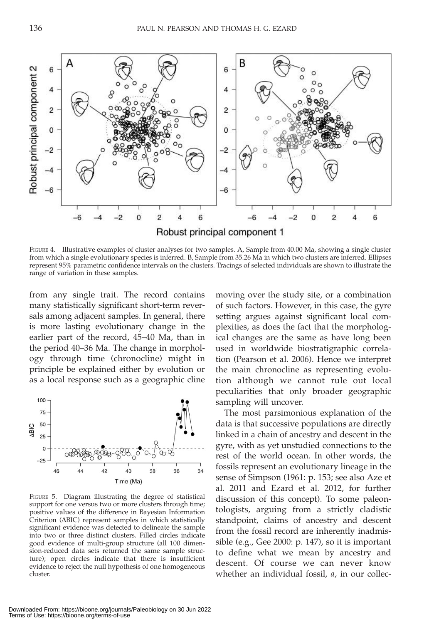

FIGURE 4. Illustrative examples of cluster analyses for two samples. A, Sample from 40.00 Ma, showing a single cluster from which a single evolutionary species is inferred. B, Sample from 35.26 Ma in which two clusters are inferred. Ellipses represent 95% parametric confidence intervals on the clusters. Tracings of selected individuals are shown to illustrate the range of variation in these samples.

from any single trait. The record contains many statistically significant short-term reversals among adjacent samples. In general, there is more lasting evolutionary change in the earlier part of the record, 45–40 Ma, than in the period 40–36 Ma. The change in morphology through time (chronocline) might in principle be explained either by evolution or as a local response such as a geographic cline



FIGURE 5. Diagram illustrating the degree of statistical support for one versus two or more clusters through time; positive values of the difference in Bayesian Information  $Criterior$  ( $\Delta BIC$ ) represent samples in which statistically significant evidence was detected to delineate the sample into two or three distinct clusters. Filled circles indicate good evidence of multi-group structure (all 100 dimension-reduced data sets returned the same sample structure); open circles indicate that there is insufficient evidence to reject the null hypothesis of one homogeneous cluster.

moving over the study site, or a combination of such factors. However, in this case, the gyre setting argues against significant local complexities, as does the fact that the morphological changes are the same as have long been used in worldwide biostratigraphic correlation (Pearson et al. 2006). Hence we interpret the main chronocline as representing evolution although we cannot rule out local peculiarities that only broader geographic sampling will uncover.

The most parsimonious explanation of the data is that successive populations are directly linked in a chain of ancestry and descent in the gyre, with as yet unstudied connections to the rest of the world ocean. In other words, the fossils represent an evolutionary lineage in the sense of Simpson (1961: p. 153; see also Aze et al. 2011 and Ezard et al. 2012, for further discussion of this concept). To some paleontologists, arguing from a strictly cladistic standpoint, claims of ancestry and descent from the fossil record are inherently inadmissible (e.g., Gee 2000: p. 147), so it is important to define what we mean by ancestry and descent. Of course we can never know whether an individual fossil, *a*, in our collec-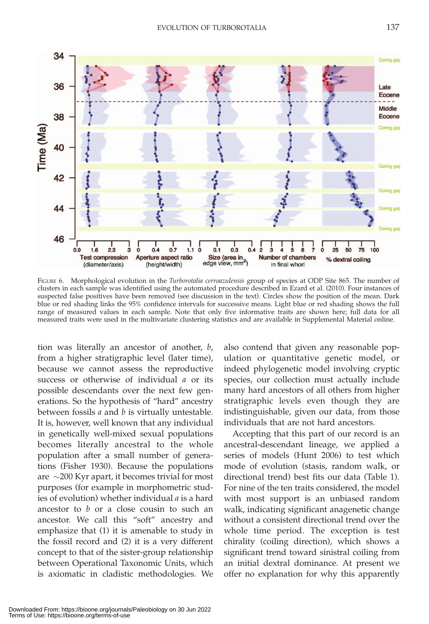

FIGURE 6. Morphological evolution in the Turborotalia cerroazulensis group of species at ODP Site 865. The number of clusters in each sample was identified using the automated procedure described in Ezard et al. (2010). Four instances of suspected false positives have been removed (see discussion in the text). Circles show the position of the mean. Dark blue or red shading links the 95% confidence intervals for successive means. Light blue or red shading shows the full range of measured values in each sample. Note that only five informative traits are shown here; full data for all measured traits were used in the multivariate clustering statistics and are available in Supplemental Material online.

tion was literally an ancestor of another, b, from a higher stratigraphic level (later time), because we cannot assess the reproductive success or otherwise of individual a or its possible descendants over the next few generations. So the hypothesis of ''hard'' ancestry between fossils  $a$  and  $b$  is virtually untestable. It is, however, well known that any individual in genetically well-mixed sexual populations becomes literally ancestral to the whole population after a small number of generations (Fisher 1930). Because the populations are  $\sim$ 200 Kyr apart, it becomes trivial for most purposes (for example in morphometric studies of evolution) whether individual a is a hard ancestor to b or a close cousin to such an ancestor. We call this ''soft'' ancestry and emphasize that (1) it is amenable to study in the fossil record and (2) it is a very different concept to that of the sister-group relationship between Operational Taxonomic Units, which is axiomatic in cladistic methodologies. We

also contend that given any reasonable population or quantitative genetic model, or indeed phylogenetic model involving cryptic species, our collection must actually include many hard ancestors of all others from higher stratigraphic levels even though they are indistinguishable, given our data, from those individuals that are not hard ancestors.

Accepting that this part of our record is an ancestral-descendant lineage, we applied a series of models (Hunt 2006) to test which mode of evolution (stasis, random walk, or directional trend) best fits our data (Table 1). For nine of the ten traits considered, the model with most support is an unbiased random walk, indicating significant anagenetic change without a consistent directional trend over the whole time period. The exception is test chirality (coiling direction), which shows a significant trend toward sinistral coiling from an initial dextral dominance. At present we offer no explanation for why this apparently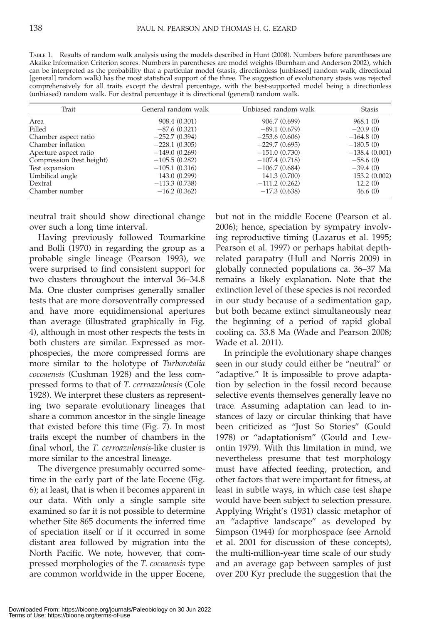| TABLE 1. Results of random walk analysis using the models described in Hunt (2008). Numbers before parentheses are       |
|--------------------------------------------------------------------------------------------------------------------------|
| Akaike Information Criterion scores. Numbers in parentheses are model weights (Burnham and Anderson 2002), which         |
| can be interpreted as the probability that a particular model (stasis, directionless [unbiased] random walk, directional |
| [general] random walk) has the most statistical support of the three. The suggestion of evolutionary stasis was rejected |
| comprehensively for all traits except the dextral percentage, with the best-supported model being a directionless        |
| (unbiased) random walk. For dextral percentage it is directional (general) random walk.                                  |

| Trait                     | General random walk | Unbiased random walk | <b>Stasis</b>   |
|---------------------------|---------------------|----------------------|-----------------|
| Area                      | 908.4 (0.301)       | 906.7 (0.699)        | 968.1(0)        |
| Filled                    | $-87.6(0.321)$      | $-89.1(0.679)$       | $-20.9(0)$      |
| Chamber aspect ratio      | $-252.7(0.394)$     | $-253.6(0.606)$      | $-164.8(0)$     |
| Chamber inflation         | $-228.1(0.305)$     | $-229.7(0.695)$      | $-180.5(0)$     |
| Aperture aspect ratio     | $-149.0(0.269)$     | $-151.0(0.730)$      | $-138.4(0.001)$ |
| Compression (test height) | $-105.5(0.282)$     | $-107.4(0.718)$      | $-58.6(0)$      |
| Test expansion            | $-105.1(0.316)$     | $-106.7(0.684)$      | $-39.4(0)$      |
| Umbilical angle           | 143.0 (0.299)       | 141.3 (0.700)        | 153.2 (0.002)   |
| Dextral                   | $-113.3(0.738)$     | $-111.2(0.262)$      | 12.2(0)         |
| Chamber number            | $-16.2(0.362)$      | $-17.3(0.638)$       | 46.6(0)         |

neutral trait should show directional change over such a long time interval.

Having previously followed Toumarkine and Bolli (1970) in regarding the group as a probable single lineage (Pearson 1993), we were surprised to find consistent support for two clusters throughout the interval 36–34.8 Ma. One cluster comprises generally smaller tests that are more dorsoventrally compressed and have more equidimensional apertures than average (illustrated graphically in Fig. 4), although in most other respects the tests in both clusters are similar. Expressed as morphospecies, the more compressed forms are more similar to the holotype of Turborotalia cocoaensis (Cushman 1928) and the less compressed forms to that of T. cerroazulensis (Cole 1928). We interpret these clusters as representing two separate evolutionary lineages that share a common ancestor in the single lineage that existed before this time (Fig. 7). In most traits except the number of chambers in the final whorl, the T. cerroazulensis-like cluster is more similar to the ancestral lineage.

The divergence presumably occurred sometime in the early part of the late Eocene (Fig. 6); at least, that is when it becomes apparent in our data. With only a single sample site examined so far it is not possible to determine whether Site 865 documents the inferred time of speciation itself or if it occurred in some distant area followed by migration into the North Pacific. We note, however, that compressed morphologies of the T. cocoaensis type are common worldwide in the upper Eocene, but not in the middle Eocene (Pearson et al. 2006); hence, speciation by sympatry involving reproductive timing (Lazarus et al. 1995; Pearson et al. 1997) or perhaps habitat depthrelated parapatry (Hull and Norris 2009) in globally connected populations ca. 36–37 Ma remains a likely explanation. Note that the extinction level of these species is not recorded in our study because of a sedimentation gap, but both became extinct simultaneously near the beginning of a period of rapid global cooling ca. 33.8 Ma (Wade and Pearson 2008; Wade et al. 2011).

In principle the evolutionary shape changes seen in our study could either be ''neutral'' or "adaptive." It is impossible to prove adaptation by selection in the fossil record because selective events themselves generally leave no trace. Assuming adaptation can lead to instances of lazy or circular thinking that have been criticized as ''Just So Stories'' (Gould 1978) or ''adaptationism'' (Gould and Lewontin 1979). With this limitation in mind, we nevertheless presume that test morphology must have affected feeding, protection, and other factors that were important for fitness, at least in subtle ways, in which case test shape would have been subject to selection pressure. Applying Wright's (1931) classic metaphor of an ''adaptive landscape'' as developed by Simpson (1944) for morphospace (see Arnold et al. 2001 for discussion of these concepts), the multi-million-year time scale of our study and an average gap between samples of just over 200 Kyr preclude the suggestion that the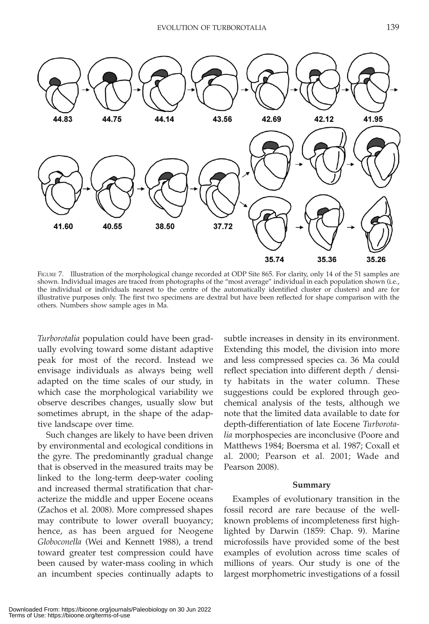

FIGURE 7. Illustration of the morphological change recorded at ODP Site 865. For clarity, only 14 of the 51 samples are shown. Individual images are traced from photographs of the ''most average'' individual in each population shown (i.e., the individual or individuals nearest to the centre of the automatically identified cluster or clusters) and are for illustrative purposes only. The first two specimens are dextral but have been reflected for shape comparison with the others. Numbers show sample ages in Ma.

Turborotalia population could have been gradually evolving toward some distant adaptive peak for most of the record. Instead we envisage individuals as always being well adapted on the time scales of our study, in which case the morphological variability we observe describes changes, usually slow but sometimes abrupt, in the shape of the adaptive landscape over time.

Such changes are likely to have been driven by environmental and ecological conditions in the gyre. The predominantly gradual change that is observed in the measured traits may be linked to the long-term deep-water cooling and increased thermal stratification that characterize the middle and upper Eocene oceans (Zachos et al. 2008). More compressed shapes may contribute to lower overall buoyancy; hence, as has been argued for Neogene Globoconella (Wei and Kennett 1988), a trend toward greater test compression could have been caused by water-mass cooling in which an incumbent species continually adapts to subtle increases in density in its environment. Extending this model, the division into more and less compressed species ca. 36 Ma could reflect speciation into different depth / density habitats in the water column. These suggestions could be explored through geochemical analysis of the tests, although we note that the limited data available to date for depth-differentiation of late Eocene Turborotalia morphospecies are inconclusive (Poore and Matthews 1984; Boersma et al. 1987; Coxall et al. 2000; Pearson et al. 2001; Wade and Pearson 2008).

#### Summary

Examples of evolutionary transition in the fossil record are rare because of the wellknown problems of incompleteness first highlighted by Darwin (1859: Chap. 9). Marine microfossils have provided some of the best examples of evolution across time scales of millions of years. Our study is one of the largest morphometric investigations of a fossil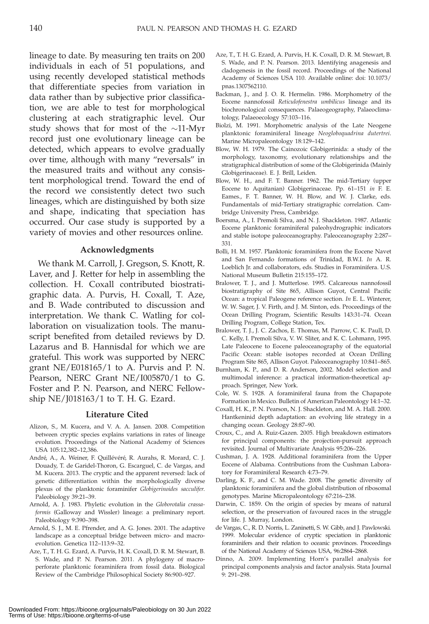lineage to date. By measuring ten traits on 200 individuals in each of 51 populations, and using recently developed statistical methods that differentiate species from variation in data rather than by subjective prior classification, we are able to test for morphological clustering at each stratigraphic level. Our study shows that for most of the  $\sim$ 11-Myr record just one evolutionary lineage can be detected, which appears to evolve gradually over time, although with many ''reversals'' in the measured traits and without any consistent morphological trend. Toward the end of the record we consistently detect two such lineages, which are distinguished by both size and shape, indicating that speciation has occurred. Our case study is supported by a variety of movies and other resources online.

#### Acknowledgments

We thank M. Carroll, J. Gregson, S. Knott, R. Laver, and J. Retter for help in assembling the collection. H. Coxall contributed biostratigraphic data. A. Purvis, H. Coxall, T. Aze, and B. Wade contributed to discussion and interpretation. We thank C. Watling for collaboration on visualization tools. The manuscript benefited from detailed reviews by D. Lazarus and B. Hannisdal for which we are grateful. This work was supported by NERC grant NE/E018165/1 to A. Purvis and P. N. Pearson, NERC Grant NE/I005870/1 to G. Foster and P. N. Pearson, and NERC Fellowship NE/J018163/1 to T. H. G. Ezard.

#### Literature Cited

- Alizon, S., M. Kucera, and V. A. A. Jansen. 2008. Competition between cryptic species explains variations in rates of lineage evolution. Proceedings of the National Academy of Sciences USA 105:12,382–12,386.
- André, A., A. Weiner, F. Quillévéré, R. Aurahs, R. Morard, C. J. Douady, T. de Garidel-Thoron, G. Escarguel, C. de Vargas, and M. Kucera. 2013. The cryptic and the apparent reversed: lack of genetic differentiation within the morphologically diverse plexus of the planktonic foraminifer Globigerinoides sacculifer. Paleobiology 39:21–39.
- Arnold, A. J. 1983. Phyletic evolution in the Globorotalia crassaformis (Galloway and Wissler) lineage: a preliminary report. Paleobiology 9:390–398.
- Arnold, S. J., M. E. Pfrender, and A. G. Jones. 2001. The adaptive landscape as a conceptual bridge between micro- and macroevolution. Genetica 112–113:9–32.
- Aze, T., T. H. G. Ezard, A. Purvis, H. K. Coxall, D. R. M. Stewart, B. S. Wade, and P. N. Pearson. 2011. A phylogeny of macroperforate planktonic foraminifera from fossil data. Biological Review of the Cambridge Philosophical Society 86:900–927.
- Aze, T., T. H. G. Ezard, A. Purvis, H. K. Coxall, D. R. M. Stewart, B. S. Wade, and P. N. Pearson. 2013. Identifying anagenesis and cladogenesis in the fossil record. Proceedings of the National Academy of Sciences USA 110. Available online: doi: 10.1073/ pnas.1307562110.
- Backman, J., and J. O. R. Hermelin. 1986. Morphometry of the Eocene nannofossil Reticulofenestra umbilicus lineage and its biochronological consequences. Palaeogeography, Palaeoclimatology, Palaeoecology 57:103–116.
- Biolzi, M. 1991. Morphometric analysis of the Late Neogene planktonic foraminiferal lineage Neogloboquadrina dutertrei. Marine Micropaleontology 18:129–142.
- Blow, W. H. 1979. The Cainozoic Globigerinida: a study of the morphology, taxonomy, evolutionary relationships and the stratigraphical distribution of some of the Globigerinida (Mainly Globigerinaceae). E. J. Brill, Leiden.
- Blow, W. H., and F. T. Banner. 1962. The mid-Tertiary (upper Eocene to Aquitanian) Globigerinaceae. Pp. 61–151 in F. E. Eames., F. T. Banner, W. H. Blow, and W. J. Clarke, eds. Fundamentals of mid-Tertiary stratigraphic correlation. Cambridge University Press, Cambridge.
- Boersma, A., I. Premoli Silva, and N. J. Shackleton. 1987. Atlantic Eocene planktonic foraminiferal paleohydrographic indicators and stable isotope paleoceanography. Paleoceanography 2:287– 331.
- Bolli, H. M. 1957. Planktonic foraminifera from the Eocene Navet and San Fernando formations of Trinidad, B.W.I. In A. R. Loeblich Jr. and collaborators, eds. Studies in Foraminifera. U.S. National Museum Bulletin 215:155–172.
- Bralower, T. J., and J. Mutterlose. 1995. Calcareous nannofossil biostratigraphy of Site 865, Allison Guyot, Central Pacific Ocean: a tropical Paleogene reference section. In E. L. Winterer, W. W. Sager, J. V. Firth, and J. M. Sinton, eds. Proceedings of the Ocean Drilling Program, Scientific Results 143:31–74. Ocean Drilling Program, College Station, Tex.
- Bralower, T. J., J. C. Zachos, E. Thomas, M. Parrow, C. K. Paull, D. C. Kelly, I. Premoli Silva, V. W. Sliter, and K. C. Lohmann, 1995. Late Paleocene to Eocene paleoceanography of the equatorial Pacific Ocean: stable isotopes recorded at Ocean Drilling Program Site 865, Allison Guyot. Paleoceanography 10:841–865.
- Burnham, K. P., and D. R. Anderson, 2002. Model selection and multimodal inference: a practical information-theoretical approach. Springer, New York.
- Cole, W. S. 1928. A foraminiferal fauna from the Chapapote Formation in Mexico. Bulletin of American Paleontology 14:1–32.
- Coxall, H. K., P. N. Pearson, N. J. Shackleton, and M. A. Hall. 2000. Hantkeninid depth adaptation: an evolving life strategy in a changing ocean. Geology 28:87–90.
- Croux, C., and A. Ruiz-Gazen. 2005. High breakdown estimators for principal components: the projection-pursuit approach revisited. Journal of Multivariate Analysis 95:206–226.
- Cushman, J. A. 1928. Additional foraminifera from the Upper Eocene of Alabama. Contributions from the Cushman Laboratory for Foraminiferal Research 4:73–79.
- Darling, K. F., and C. M. Wade. 2008. The genetic diversity of planktonic foraminifera and the global distribution of ribosomal genotypes. Marine Micropaleontology 67:216–238.
- Darwin, C. 1859. On the origin of species by means of natural selection, or the preservation of favoured races in the struggle for life. J. Murray, London.
- de Vargas, C., R. D. Norris, L. Zaninetti, S. W. Gibb, and J. Pawlowski. 1999. Molecular evidence of cryptic speciation in planktonic foraminifers and their relation to oceanic provinces. Proceedings of the National Academy of Sciences USA, 96:2864–2868.
- Dinno, A. 2009. Implementing Horn's parallel analysis for principal components analysis and factor analysis. Stata Journal 9: 291–298.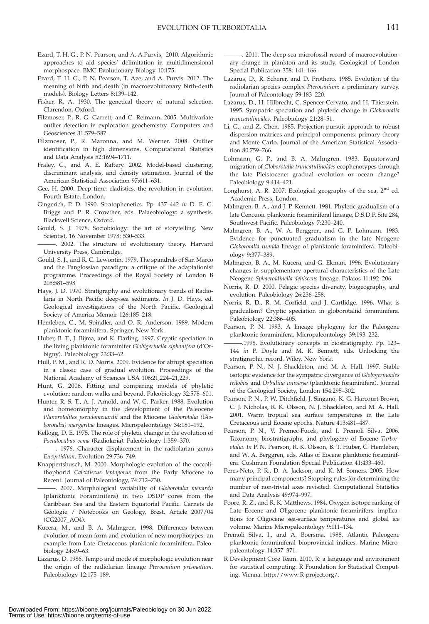- Ezard, T. H. G., P. N. Pearson, and A. A.Purvis, 2010. Algorithmic approaches to aid species' delimitation in multidimensional morphospace. BMC Evolutionary Biology 10:175.
- Ezard, T. H. G., P. N. Pearson, T. Aze, and A. Purvis. 2012. The meaning of birth and death (in macroevolutionary birth-death models). Biology Letters 8:139–142.
- Fisher, R. A. 1930. The genetical theory of natural selection. Clarendon, Oxford.
- Filzmoser, P., R. G. Garrett, and C. Reimann. 2005. Multivariate outlier detection in exploration geochemistry. Computers and Geosciences 31:579–587.
- Filzmoser, P., R. Maronna, and M. Werner. 2008. Outlier identification in high dimensions. Computational Statistics and Data Analysis 52:1694–1711.
- Fraley, C., and A. E. Raftery. 2002. Model-based clustering, discriminant analysis, and density estimation. Journal of the American Statistical Association 97:611–631.
- Gee, H. 2000. Deep time: cladistics, the revolution in evolution. Fourth Estate, London.
- Gingerich, P. D. 1990. Stratophenetics. Pp. 437–442 in D. E. G. Briggs and P. R. Crowther, eds. Palaeobiology: a synthesis. Blackwell Science, Oxford.
- Gould, S. J. 1978. Sociobiology: the art of storytelling. New Scientist, 16 November 1978: 530–533.
- ———. 2002. The structure of evolutionary theory. Harvard University Press, Cambridge.
- Gould, S. J., and R. C. Lewontin. 1979. The spandrels of San Marco and the Panglossian paradigm: a critique of the adaptationist programme. Proceedings of the Royal Society of London B 205:581–598
- Hays, J. D. 1970. Stratigraphy and evolutionary trends of Radiolaria in North Pacific deep-sea sediments. In J. D. Hays, ed. Geological investigations of the North Pacific. Geological Society of America Memoir 126:185–218.
- Hemleben, C., M. Spindler, and O. R. Anderson. 1989. Modern planktonic foraminifera. Springer, New York.
- Huber, B. T., J. Bijma, and K. Darling. 1997. Cryptic speciation in the living planktonic foraminifer Globigerinella siphonifera (d'Orbigny). Paleobiology 23:33–62.
- Hull, P. M., and R. D. Norris. 2009. Evidence for abrupt speciation in a classic case of gradual evolution. Proceedings of the National Academy of Sciences USA 106:21,224–21,229.
- Hunt, G. 2006. Fitting and comparing models of phyletic evolution: random walks and beyond. Paleobiology 32:578–601.
- Hunter, R. S. T., A. J. Arnold, and W. C. Parker. 1988. Evolution and homeomorphy in the development of the Paleocene Planorotalites pseudomenardii and the Miocene Globorotalia (Globorotalia) margaritae lineages. Micropaleontology 34:181–192.
- Kellogg, D. E. 1975. The role of phyletic change in the evolution of Pseudocubus vema (Radiolaria). Paleobiology 1:359–370.
- -. 1976. Character displacement in the radiolarian genus Eucyrtidium. Evolution 29:736–749.
- Knappertsbusch, M. 2000. Morphologic evolution of the coccolithophorid Calcidiscus leptoporus from the Early Miocene to Recent. Journal of Paleontology, 74:712–730.
- . 2007. Morphological variability of Globorotalia menardii (planktonic Foraminifera) in two DSDP cores from the Caribbean Sea and the Eastern Equatorial Pacific. Carnets de Géologie / Notebooks on Geology, Brest, Article 2007/04 (CG2007\_AO4).
- Kucera, M., and B. A. Malmgren. 1998. Differences between evolution of mean form and evolution of new morphotypes: an example from Late Cretaceous planktonic foraminifera. Paleobiology 24:49–63.
- Lazarus, D. 1986. Tempo and mode of morphologic evolution near the origin of the radiolarian lineage Pterocanium prismatium. Paleobiology 12:175–189.
- ———. 2011. The deep-sea microfossil record of macroevolutionary change in plankton and its study. Geological of London Special Publication 358: 141–166.
- Lazarus, D., R. Scherer, and D. Prothero. 1985. Evolution of the radiolarian species complex Pterocanium: a preliminary survey. Journal of Paleontology 59:183–220.
- Lazarus, D., H. Hilbrecht, C. Spencer-Cervato, and H. Thierstein. 1995. Sympatric speciation and phyletic change in Globorotalia truncatulinoides. Paleobiology 21:28–51.
- Li, G., and Z. Chen. 1985. Projection-pursuit approach to robust dispersion matrices and principal components: primary theory and Monte Carlo. Journal of the American Statistical Association 80:759–766.
- Lohmann, G. P., and B. A. Malmgren. 1983. Equatorward migration of Globorotalia truncatulinoides ecophenotypes through the late Pleistocene: gradual evolution or ocean change? Paleobiology 9:414–421.
- Longhurst, A. R. 2007. Ecological geography of the sea, 2<sup>nd</sup> ed. Academic Press, London.
- Malmgren, B. A., and J. P. Kennett. 1981. Phyletic gradualism of a late Cenozoic planktonic foraminiferal lineage, D.S.D.P. Site 284, Southwest Pacific. Paleobiology 7:230–240.
- Malmgren, B. A., W. A. Berggren, and G. P. Lohmann. 1983. Evidence for punctuated gradualism in the late Neogene Globorotalia tumida lineage of planktonic foraminifera. Paleobiology 9:377–389.
- Malmgren, B. A., M. Kucera, and G. Ekman. 1996. Evolutionary changes in supplementary apertural characteristics of the Late Neogene Sphaeroidinella dehiscens lineage. Palaios 11:192–206.
- Norris, R. D. 2000. Pelagic species diversity, biogeography, and evolution. Paleobiology 26:236–258.
- Norris, R. D., R. M. Corfield, and J. Cartlidge. 1996. What is gradualism? Cryptic speciation in globorotaliid foraminifera. Paleobiology 22:386–405.
- Pearson, P. N. 1993. A lineage phylogeny for the Paleogene planktonic foraminifera. Micropaleontology 39:193–232.
- ———.1998. Evolutionary concepts in biostratigraphy. Pp. 123– 144 in P. Doyle and M. R. Bennett, eds. Unlocking the stratigraphic record. Wiley, New York.
- Pearson, P. N., N. J. Shackleton, and M. A. Hall. 1997. Stable isotopic evidence for the sympatric divergence of Globigerinoides trilobus and Orbulina universa (planktonic foraminifera). Journal of the Geological Society, London 154:295–302.
- Pearson, P. N., P. W. Ditchfield, J. Singano, K. G. Harcourt-Brown, C. J. Nicholas, R. K. Olsson, N. J. Shackleton, and M. A. Hall. 2001. Warm tropical sea surface temperatures in the Late Cretaceous and Eocene epochs. Nature 413:481–487.
- Pearson, P. N., V. Premec-Fucek, and I. Premoli Silva. 2006. Taxonomy, biostratigraphy, and phylogeny of Eocene Turborotalia. In P. N. Pearson, R. K. Olsson, B. T. Huber, C. Hemleben, and W. A. Berggren, eds. Atlas of Eocene planktonic foraminifera. Cushman Foundation Special Publication 41:433–460.
- Peres-Neto, P. R., D. A. Jackson, and K. M. Somers. 2005. How many principal components? Stopping rules for determining the number of non-trivial axes revisited. Computational Statistics and Data Analysis 49:974–997.
- Poore, R. Z., and R. K. Matthews. 1984. Oxygen isotope ranking of Late Eocene and Oligocene planktonic foraminifers: implications for Oligocene sea-surface temperatures and global ice volume. Marine Micropaleontology 9:111–134.
- Premoli Silva, I., and A. Boersma. 1988. Atlantic Paleogene planktonic foraminiferal bioprovincial indices. Marine Micropaleontology 14:357–371.
- R Development Core Team. 2010. R: a language and environment for statistical computing. R Foundation for Statistical Computing, Vienna. http://www.R-project.org/.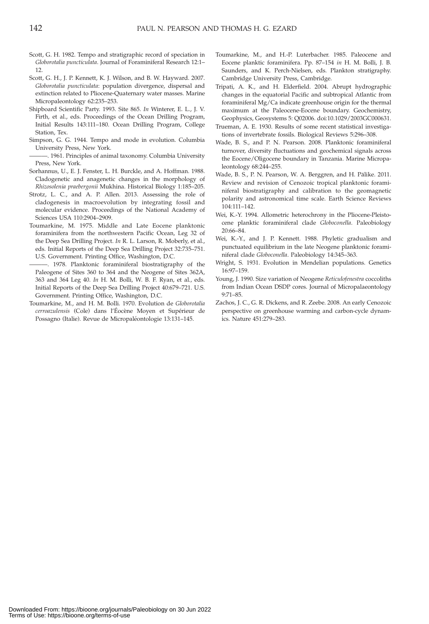- Scott, G. H. 1982. Tempo and stratigraphic record of speciation in Globorotalia puncticulata. Journal of Foraminiferal Research 12:1– 12.
- Scott, G. H., J. P. Kennett, K. J. Wilson, and B. W. Hayward. 2007. Globorotalia puncticulata: population divergence, dispersal and extinction related to Pliocene-Quaternary water masses. Marine Micropaleontology 62:235–253.
- Shipboard Scientific Party. 1993. Site 865. In Winterer, E. L., J. V. Firth, et al., eds. Proceedings of the Ocean Drilling Program, Initial Results 143:111–180. Ocean Drilling Program, College Station, Tex.
- Simpson, G. G. 1944. Tempo and mode in evolution. Columbia University Press, New York.
- -. 1961. Principles of animal taxonomy. Columbia University Press, New York.
- Sorhannus, U., E. J. Fenster, L. H. Burckle, and A. Hoffman. 1988. Cladogenetic and anagenetic changes in the morphology of Rhizosolenia praebergonii Mukhina. Historical Biology 1:185–205.
- Strotz, L. C., and A. P. Allen. 2013. Assessing the role of cladogenesis in macroevolution by integrating fossil and molecular evidence. Proceedings of the National Academy of Sciences USA 110:2904–2909.
- Toumarkine, M. 1975. Middle and Late Eocene planktonic foraminifera from the northwestern Pacific Ocean, Leg 32 of the Deep Sea Drilling Project. In R. L. Larson, R. Moberly, et al., eds. Initial Reports of the Deep Sea Drilling Project 32:735–751. U.S. Government. Printing Office, Washington, D.C.
- ———. 1978. Planktonic foraminiferal biostratigraphy of the Paleogene of Sites 360 to 364 and the Neogene of Sites 362A, 363 and 364 Leg 40. In H. M. Bolli, W. B. F. Ryan, et al., eds. Initial Reports of the Deep Sea Drilling Project 40:679–721. U.S. Government. Printing Office, Washington, D.C.
- Toumarkine, M., and H. M. Bolli. 1970. Evolution de Globorotalia cerroazulensis (Cole) dans l'Éocène Moyen et Supérieur de Possagno (Italie). Revue de Micropaléontologie 13:131-145.
- Toumarkine, M., and H.-P. Luterbacher. 1985. Paleocene and Eocene planktic foraminifera. Pp. 87–154 in H. M. Bolli, J. B. Saunders, and K. Perch-Nielsen, eds. Plankton stratigraphy. Cambridge University Press, Cambridge.
- Tripati, A. K., and H. Elderfield. 2004. Abrupt hydrographic changes in the equatorial Pacific and subtropical Atlantic from foraminiferal Mg/Ca indicate greenhouse origin for the thermal maximum at the Paleocene-Eocene boundary. Geochemistry, Geophysics, Geosystems 5: Q02006. doi:10.1029/2003GC000631.
- Trueman, A. E. 1930. Results of some recent statistical investigations of invertebrate fossils. Biological Reviews 5:296–308.
- Wade, B. S., and P. N. Pearson. 2008. Planktonic foraminiferal turnover, diversity fluctuations and geochemical signals across the Eocene/Oligocene boundary in Tanzania. Marine Micropaleontology 68:244–255.
- Wade, B. S., P. N. Pearson, W. A. Berggren, and H. Pälike. 2011. Review and revision of Cenozoic tropical planktonic foraminiferal biostratigraphy and calibration to the geomagnetic polarity and astronomical time scale. Earth Science Reviews 104:111–142.
- Wei, K.-Y. 1994. Allometric heterochrony in the Pliocene-Pleistocene planktic foraminiferal clade Globoconella. Paleobiology 20:66–84.
- Wei, K.-Y., and J. P. Kennett. 1988. Phyletic gradualism and punctuated equilibrium in the late Neogene planktonic foraminiferal clade Globoconella. Paleobiology 14:345–363.
- Wright, S. 1931. Evolution in Mendelian populations. Genetics 16:97–159.
- Young, J. 1990. Size variation of Neogene Reticulofenestra coccoliths from Indian Ocean DSDP cores. Journal of Micropalaeontology 9:71–85.
- Zachos, J. C., G. R. Dickens, and R. Zeebe. 2008. An early Cenozoic perspective on greenhouse warming and carbon-cycle dynamics. Nature 451:279–283.